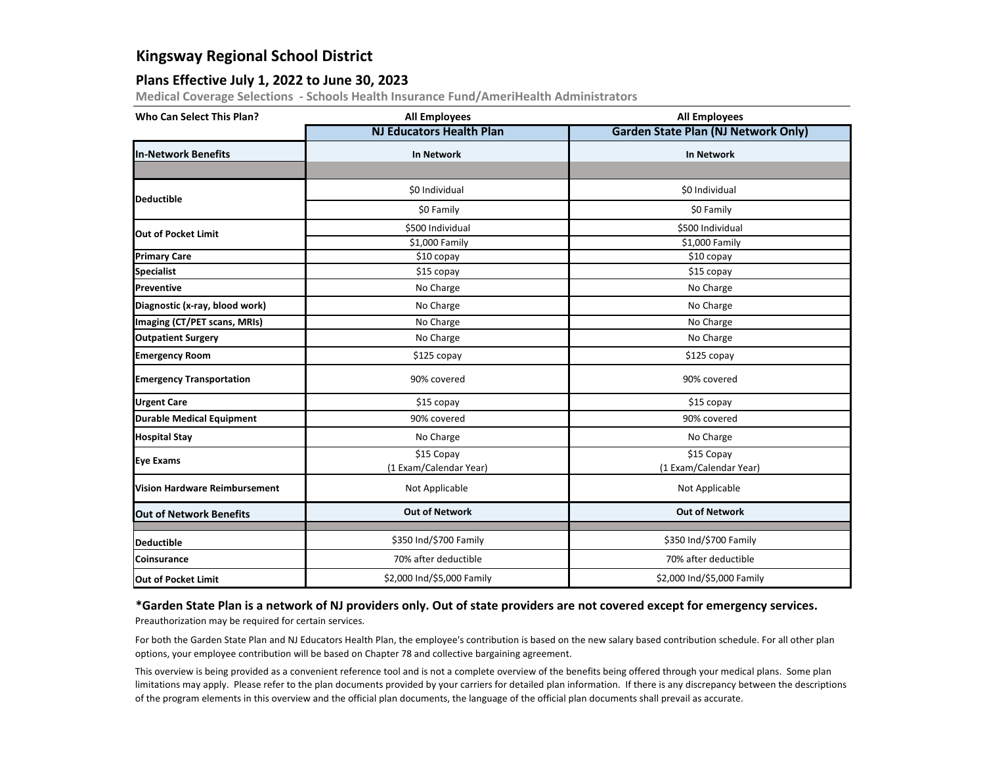# **Kingsway Regional School District**

### **Plans Effective July 1, 2022 to June 30, 2023**

**Medical Coverage Selections - Schools Health Insurance Fund/AmeriHealth Administrators**

| <b>Who Can Select This Plan?</b>     | <b>All Employees</b>                                                         | <b>All Employees</b>                       |  |
|--------------------------------------|------------------------------------------------------------------------------|--------------------------------------------|--|
|                                      | <b>NJ Educators Health Plan</b>                                              | <b>Garden State Plan (NJ Network Only)</b> |  |
| <b>In-Network Benefits</b>           | <b>In Network</b>                                                            | <b>In Network</b>                          |  |
|                                      |                                                                              |                                            |  |
| <b>Deductible</b>                    | \$0 Individual                                                               | \$0 Individual                             |  |
|                                      | \$0 Family                                                                   | \$0 Family                                 |  |
| <b>Out of Pocket Limit</b>           | \$500 Individual                                                             | \$500 Individual                           |  |
|                                      | \$1,000 Family                                                               | \$1,000 Family                             |  |
| <b>Primary Care</b>                  | \$10 copay                                                                   | \$10 copay                                 |  |
| <b>Specialist</b>                    | \$15 copay                                                                   | \$15 copay                                 |  |
| <b>Preventive</b>                    | No Charge                                                                    | No Charge                                  |  |
| Diagnostic (x-ray, blood work)       | No Charge                                                                    | No Charge                                  |  |
| Imaging (CT/PET scans, MRIs)         | No Charge                                                                    | No Charge                                  |  |
| <b>Outpatient Surgery</b>            | No Charge                                                                    | No Charge                                  |  |
| <b>Emergency Room</b>                | \$125 copay                                                                  | \$125 copay                                |  |
| <b>Emergency Transportation</b>      | 90% covered                                                                  | 90% covered                                |  |
| <b>Urgent Care</b>                   | \$15 copay                                                                   | \$15 copay                                 |  |
| <b>Durable Medical Equipment</b>     | 90% covered                                                                  | 90% covered                                |  |
| <b>Hospital Stay</b>                 | No Charge                                                                    | No Charge                                  |  |
| <b>Eye Exams</b>                     | \$15 Copay<br>\$15 Copay<br>(1 Exam/Calendar Year)<br>(1 Exam/Calendar Year) |                                            |  |
| <b>Vision Hardware Reimbursement</b> | Not Applicable<br>Not Applicable                                             |                                            |  |
| <b>Out of Network Benefits</b>       | <b>Out of Network</b>                                                        | <b>Out of Network</b>                      |  |
| <b>Deductible</b>                    | \$350 Ind/\$700 Family                                                       | \$350 Ind/\$700 Family                     |  |
| <b>Coinsurance</b>                   | 70% after deductible                                                         | 70% after deductible                       |  |
| <b>Out of Pocket Limit</b>           | \$2,000 Ind/\$5,000 Family                                                   | \$2,000 Ind/\$5,000 Family                 |  |

#### **\*Garden State Plan is a network of NJ providers only. Out of state providers are not covered except for emergency services.**

Preauthorization may be required for certain services.

For both the Garden State Plan and NJ Educators Health Plan, the employee's contribution is based on the new salary based contribution schedule. For all other plan options, your employee contribution will be based on Chapter 78 and collective bargaining agreement.

This overview is being provided as a convenient reference tool and is not a complete overview of the benefits being offered through your medical plans. Some plan limitations may apply. Please refer to the plan documents provided by your carriers for detailed plan information. If there is any discrepancy between the descriptions of the program elements in this overview and the official plan documents, the language of the official plan documents shall prevail as accurate.